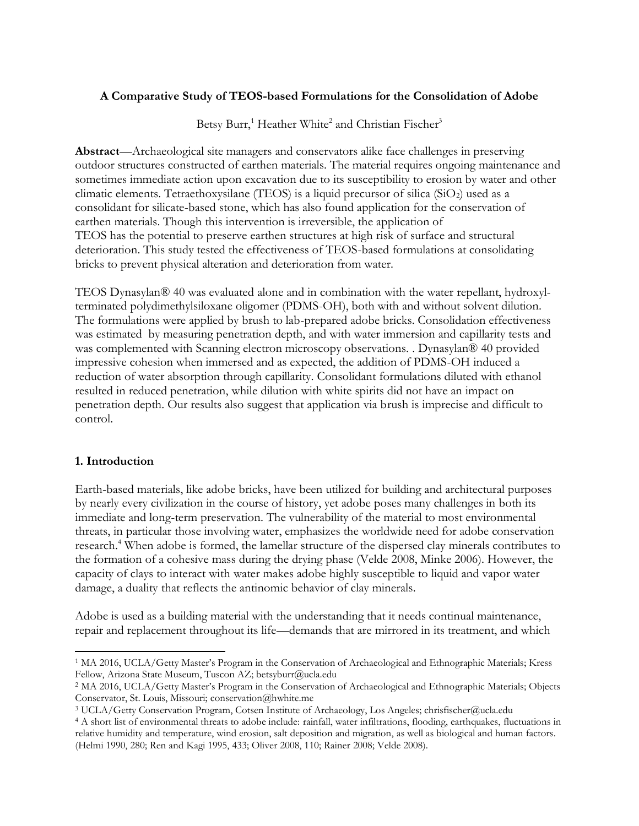## **A Comparative Study of TEOS-based Formulations for the Consolidation of Adobe**

Betsy Burr,<sup>1</sup> Heather White<sup>2</sup> and Christian Fischer<sup>3</sup>

**Abstract**—Archaeological site managers and conservators alike face challenges in preserving outdoor structures constructed of earthen materials. The material requires ongoing maintenance and sometimes immediate action upon excavation due to its susceptibility to erosion by water and other climatic elements. Tetraethoxysilane (TEOS) is a liquid precursor of silica ( $SiO<sub>2</sub>$ ) used as a consolidant for silicate-based stone, which has also found application for the conservation of earthen materials. Though this intervention is irreversible, the application of TEOS has the potential to preserve earthen structures at high risk of surface and structural deterioration. This study tested the effectiveness of TEOS-based formulations at consolidating bricks to prevent physical alteration and deterioration from water.

TEOS Dynasylan® 40 was evaluated alone and in combination with the water repellant, hydroxylterminated polydimethylsiloxane oligomer (PDMS-OH), both with and without solvent dilution. The formulations were applied by brush to lab-prepared adobe bricks. Consolidation effectiveness was estimated by measuring penetration depth, and with water immersion and capillarity tests and was complemented with Scanning electron microscopy observations. . Dynasylan® 40 provided impressive cohesion when immersed and as expected, the addition of PDMS-OH induced a reduction of water absorption through capillarity. Consolidant formulations diluted with ethanol resulted in reduced penetration, while dilution with white spirits did not have an impact on penetration depth. Our results also suggest that application via brush is imprecise and difficult to control.

### **1. Introduction**

 $\overline{a}$ 

Earth-based materials, like adobe bricks, have been utilized for building and architectural purposes by nearly every civilization in the course of history, yet adobe poses many challenges in both its immediate and long-term preservation. The vulnerability of the material to most environmental threats, in particular those involving water, emphasizes the worldwide need for adobe conservation research.<sup>4</sup> When adobe is formed, the lamellar structure of the dispersed clay minerals contributes to the formation of a cohesive mass during the drying phase (Velde 2008, Minke 2006). However, the capacity of clays to interact with water makes adobe highly susceptible to liquid and vapor water damage, a duality that reflects the antinomic behavior of clay minerals.

Adobe is used as a building material with the understanding that it needs continual maintenance, repair and replacement throughout its life—demands that are mirrored in its treatment, and which

<sup>1</sup> MA 2016, UCLA/Getty Master's Program in the Conservation of Archaeological and Ethnographic Materials; Kress Fellow, Arizona State Museum, Tuscon AZ; betsyburr@ucla.edu

<sup>2</sup> MA 2016, UCLA/Getty Master's Program in the Conservation of Archaeological and Ethnographic Materials; Objects Conservator, St. Louis, Missouri; conservation@hwhite.me

<sup>3</sup> UCLA/Getty Conservation Program, Cotsen Institute of Archaeology, Los Angeles; chrisfischer@ucla.edu

<sup>4</sup> A short list of environmental threats to adobe include: rainfall, water infiltrations, flooding, earthquakes, fluctuations in relative humidity and temperature, wind erosion, salt deposition and migration, as well as biological and human factors. (Helmi 1990, 280; Ren and Kagi 1995, 433; Oliver 2008, 110; Rainer 2008; Velde 2008).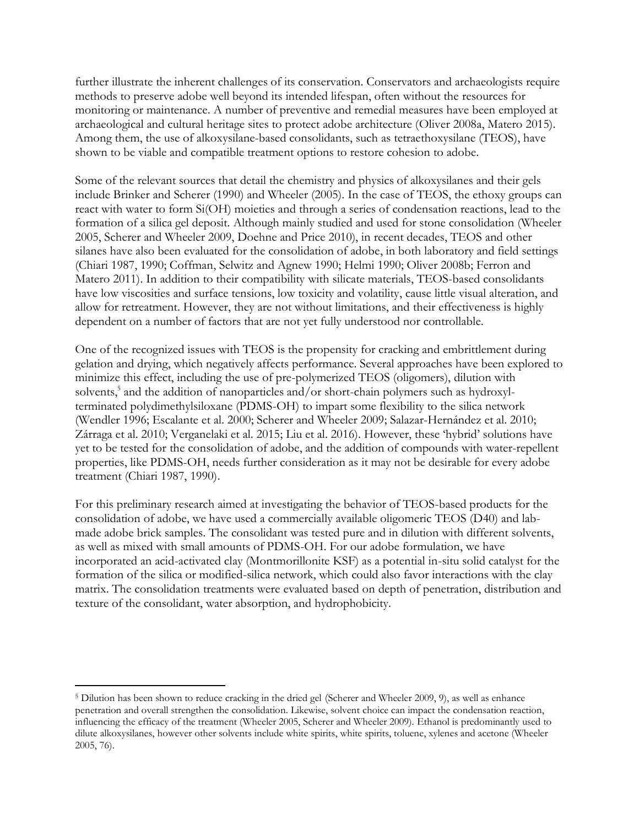further illustrate the inherent challenges of its conservation. Conservators and archaeologists require methods to preserve adobe well beyond its intended lifespan, often without the resources for monitoring or maintenance. A number of preventive and remedial measures have been employed at archaeological and cultural heritage sites to protect adobe architecture (Oliver 2008a, Matero 2015). Among them, the use of alkoxysilane-based consolidants, such as tetraethoxysilane (TEOS), have shown to be viable and compatible treatment options to restore cohesion to adobe.

Some of the relevant sources that detail the chemistry and physics of alkoxysilanes and their gels include Brinker and Scherer (1990) and Wheeler (2005). In the case of TEOS, the ethoxy groups can react with water to form Si(OH) moieties and through a series of condensation reactions, lead to the formation of a silica gel deposit. Although mainly studied and used for stone consolidation (Wheeler 2005, Scherer and Wheeler 2009, Doehne and Price 2010), in recent decades, TEOS and other silanes have also been evaluated for the consolidation of adobe, in both laboratory and field settings (Chiari 1987, 1990; Coffman, Selwitz and Agnew 1990; Helmi 1990; Oliver 2008b; Ferron and Matero 2011). In addition to their compatibility with silicate materials, TEOS-based consolidants have low viscosities and surface tensions, low toxicity and volatility, cause little visual alteration, and allow for retreatment. However, they are not without limitations, and their effectiveness is highly dependent on a number of factors that are not yet fully understood nor controllable.

One of the recognized issues with TEOS is the propensity for cracking and embrittlement during gelation and drying, which negatively affects performance. Several approaches have been explored to minimize this effect, including the use of pre-polymerized TEOS (oligomers), dilution with solvents, 5 and the addition of nanoparticles and/or short-chain polymers such as hydroxylterminated polydimethylsiloxane (PDMS-OH) to impart some flexibility to the silica network (Wendler 1996; Escalante et al. 2000; Scherer and Wheeler 2009; Salazar-Hernández et al. 2010; Zárraga et al. 2010; Verganelaki et al. 2015; Liu et al. 2016). However, these 'hybrid' solutions have yet to be tested for the consolidation of adobe, and the addition of compounds with water-repellent properties, like PDMS-OH, needs further consideration as it may not be desirable for every adobe treatment (Chiari 1987, 1990).

For this preliminary research aimed at investigating the behavior of TEOS-based products for the consolidation of adobe, we have used a commercially available oligomeric TEOS (D40) and labmade adobe brick samples. The consolidant was tested pure and in dilution with different solvents, as well as mixed with small amounts of PDMS-OH. For our adobe formulation, we have incorporated an acid-activated clay (Montmorillonite KSF) as a potential in-situ solid catalyst for the formation of the silica or modified-silica network, which could also favor interactions with the clay matrix. The consolidation treatments were evaluated based on depth of penetration, distribution and texture of the consolidant, water absorption, and hydrophobicity.

 $\overline{a}$ 

<sup>5</sup> Dilution has been shown to reduce cracking in the dried gel (Scherer and Wheeler 2009, 9), as well as enhance penetration and overall strengthen the consolidation. Likewise, solvent choice can impact the condensation reaction, influencing the efficacy of the treatment (Wheeler 2005, Scherer and Wheeler 2009). Ethanol is predominantly used to dilute alkoxysilanes, however other solvents include white spirits, white spirits, toluene, xylenes and acetone (Wheeler 2005, 76).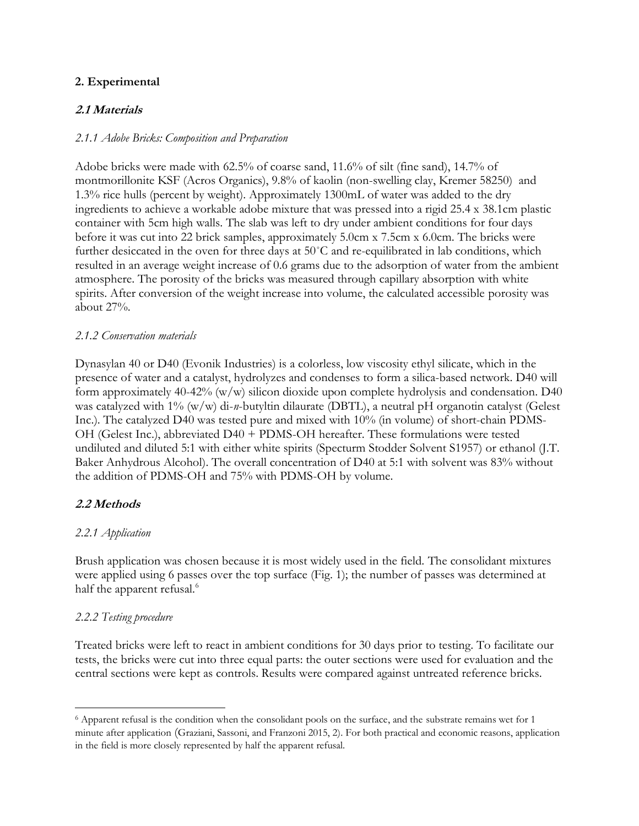## **2. Experimental**

# **2.1 Materials**

### *2.1.1 Adobe Bricks: Composition and Preparation*

Adobe bricks were made with 62.5% of coarse sand, 11.6% of silt (fine sand), 14.7% of montmorillonite KSF (Acros Organics), 9.8% of kaolin (non-swelling clay, Kremer 58250) and 1.3% rice hulls (percent by weight). Approximately 1300mL of water was added to the dry ingredients to achieve a workable adobe mixture that was pressed into a rigid 25.4 x 38.1cm plastic container with 5cm high walls. The slab was left to dry under ambient conditions for four days before it was cut into 22 brick samples, approximately 5.0cm x 7.5cm x 6.0cm. The bricks were further desiccated in the oven for three days at 50˚C and re-equilibrated in lab conditions, which resulted in an average weight increase of 0.6 grams due to the adsorption of water from the ambient atmosphere. The porosity of the bricks was measured through capillary absorption with white spirits. After conversion of the weight increase into volume, the calculated accessible porosity was about 27%.

#### *2.1.2 Conservation materials*

Dynasylan 40 or D40 (Evonik Industries) is a colorless, low viscosity ethyl silicate, which in the presence of water and a catalyst, hydrolyzes and condenses to form a silica-based network. D40 will form approximately 40-42% (w/w) silicon dioxide upon complete hydrolysis and condensation. D40 was catalyzed with 1% (w/w) di-*n*-butyltin dilaurate (DBTL), a neutral pH organotin catalyst (Gelest Inc.). The catalyzed D40 was tested pure and mixed with 10% (in volume) of short-chain PDMS-OH (Gelest Inc.), abbreviated D40 + PDMS-OH hereafter. These formulations were tested undiluted and diluted 5:1 with either white spirits (Specturm Stodder Solvent S1957) or ethanol (J.T. Baker Anhydrous Alcohol). The overall concentration of D40 at 5:1 with solvent was 83% without the addition of PDMS-OH and 75% with PDMS-OH by volume.

### **2.2 Methods**

### *2.2.1 Application*

Brush application was chosen because it is most widely used in the field. The consolidant mixtures were applied using 6 passes over the top surface (Fig. 1); the number of passes was determined at half the apparent refusal.<sup>6</sup>

### *2.2.2 Testing procedure*

 $\overline{a}$ 

Treated bricks were left to react in ambient conditions for 30 days prior to testing. To facilitate our tests, the bricks were cut into three equal parts: the outer sections were used for evaluation and the central sections were kept as controls. Results were compared against untreated reference bricks.

<sup>6</sup> Apparent refusal is the condition when the consolidant pools on the surface, and the substrate remains wet for 1 minute after application (Graziani, Sassoni, and Franzoni 2015, 2). For both practical and economic reasons, application in the field is more closely represented by half the apparent refusal.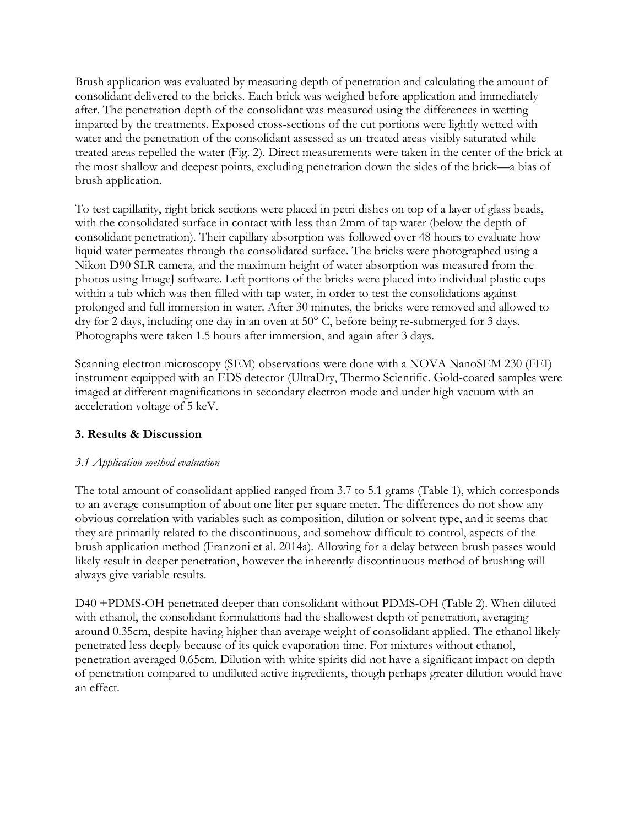Brush application was evaluated by measuring depth of penetration and calculating the amount of consolidant delivered to the bricks. Each brick was weighed before application and immediately after. The penetration depth of the consolidant was measured using the differences in wetting imparted by the treatments. Exposed cross-sections of the cut portions were lightly wetted with water and the penetration of the consolidant assessed as un-treated areas visibly saturated while treated areas repelled the water (Fig. 2). Direct measurements were taken in the center of the brick at the most shallow and deepest points, excluding penetration down the sides of the brick—a bias of brush application.

To test capillarity, right brick sections were placed in petri dishes on top of a layer of glass beads, with the consolidated surface in contact with less than 2mm of tap water (below the depth of consolidant penetration). Their capillary absorption was followed over 48 hours to evaluate how liquid water permeates through the consolidated surface. The bricks were photographed using a Nikon D90 SLR camera, and the maximum height of water absorption was measured from the photos using ImageJ software. Left portions of the bricks were placed into individual plastic cups within a tub which was then filled with tap water, in order to test the consolidations against prolonged and full immersion in water. After 30 minutes, the bricks were removed and allowed to dry for 2 days, including one day in an oven at 50° C, before being re-submerged for 3 days. Photographs were taken 1.5 hours after immersion, and again after 3 days.

Scanning electron microscopy (SEM) observations were done with a NOVA NanoSEM 230 (FEI) instrument equipped with an EDS detector (UltraDry, Thermo Scientific. Gold-coated samples were imaged at different magnifications in secondary electron mode and under high vacuum with an acceleration voltage of 5 keV.

# **3. Results & Discussion**

# *3.1 Application method evaluation*

The total amount of consolidant applied ranged from 3.7 to 5.1 grams (Table 1), which corresponds to an average consumption of about one liter per square meter. The differences do not show any obvious correlation with variables such as composition, dilution or solvent type, and it seems that they are primarily related to the discontinuous, and somehow difficult to control, aspects of the brush application method (Franzoni et al. 2014a). Allowing for a delay between brush passes would likely result in deeper penetration, however the inherently discontinuous method of brushing will always give variable results.

D40 +PDMS-OH penetrated deeper than consolidant without PDMS-OH (Table 2). When diluted with ethanol, the consolidant formulations had the shallowest depth of penetration, averaging around 0.35cm, despite having higher than average weight of consolidant applied. The ethanol likely penetrated less deeply because of its quick evaporation time. For mixtures without ethanol, penetration averaged 0.65cm. Dilution with white spirits did not have a significant impact on depth of penetration compared to undiluted active ingredients, though perhaps greater dilution would have an effect.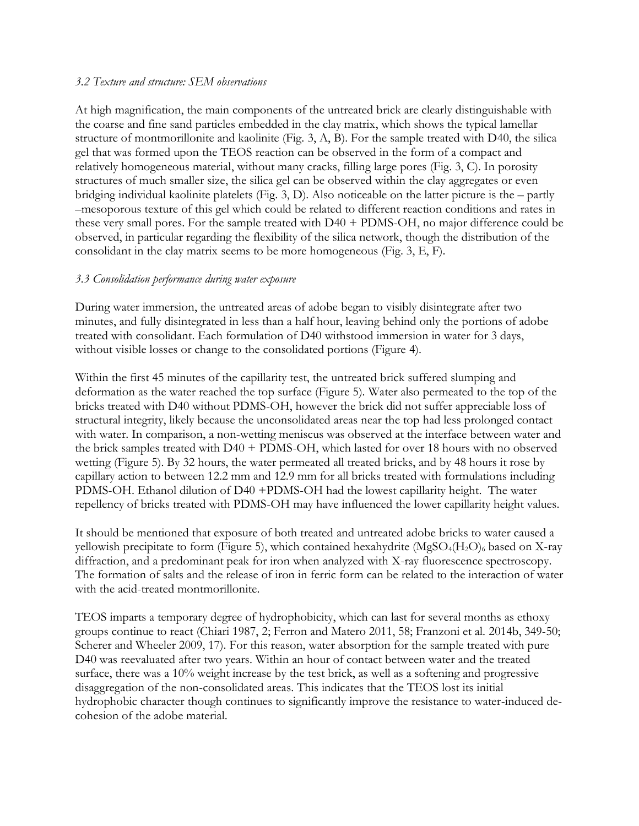#### *3.2 Texture and structure: SEM observations*

At high magnification, the main components of the untreated brick are clearly distinguishable with the coarse and fine sand particles embedded in the clay matrix, which shows the typical lamellar structure of montmorillonite and kaolinite (Fig. 3, A, B). For the sample treated with D40, the silica gel that was formed upon the TEOS reaction can be observed in the form of a compact and relatively homogeneous material, without many cracks, filling large pores (Fig. 3, C). In porosity structures of much smaller size, the silica gel can be observed within the clay aggregates or even bridging individual kaolinite platelets (Fig. 3, D). Also noticeable on the latter picture is the – partly –mesoporous texture of this gel which could be related to different reaction conditions and rates in these very small pores. For the sample treated with D40 + PDMS-OH, no major difference could be observed, in particular regarding the flexibility of the silica network, though the distribution of the consolidant in the clay matrix seems to be more homogeneous (Fig. 3, E, F).

### *3.3 Consolidation performance during water exposure*

During water immersion, the untreated areas of adobe began to visibly disintegrate after two minutes, and fully disintegrated in less than a half hour, leaving behind only the portions of adobe treated with consolidant. Each formulation of D40 withstood immersion in water for 3 days, without visible losses or change to the consolidated portions (Figure 4).

Within the first 45 minutes of the capillarity test, the untreated brick suffered slumping and deformation as the water reached the top surface (Figure 5). Water also permeated to the top of the bricks treated with D40 without PDMS-OH, however the brick did not suffer appreciable loss of structural integrity, likely because the unconsolidated areas near the top had less prolonged contact with water. In comparison, a non-wetting meniscus was observed at the interface between water and the brick samples treated with D40 + PDMS-OH, which lasted for over 18 hours with no observed wetting (Figure 5). By 32 hours, the water permeated all treated bricks, and by 48 hours it rose by capillary action to between 12.2 mm and 12.9 mm for all bricks treated with formulations including PDMS-OH. Ethanol dilution of D40 +PDMS-OH had the lowest capillarity height. The water repellency of bricks treated with PDMS-OH may have influenced the lower capillarity height values.

It should be mentioned that exposure of both treated and untreated adobe bricks to water caused a yellowish precipitate to form (Figure 5), which contained hexahydrite (MgSO<sub>4</sub>(H<sub>2</sub>O)<sub>6</sub> based on X-ray diffraction, and a predominant peak for iron when analyzed with X-ray fluorescence spectroscopy. The formation of salts and the release of iron in ferric form can be related to the interaction of water with the acid-treated montmorillonite.

TEOS imparts a temporary degree of hydrophobicity, which can last for several months as ethoxy groups continue to react (Chiari 1987, 2; Ferron and Matero 2011, 58; Franzoni et al. 2014b, 349-50; Scherer and Wheeler 2009, 17). For this reason, water absorption for the sample treated with pure D40 was reevaluated after two years. Within an hour of contact between water and the treated surface, there was a 10% weight increase by the test brick, as well as a softening and progressive disaggregation of the non-consolidated areas. This indicates that the TEOS lost its initial hydrophobic character though continues to significantly improve the resistance to water-induced decohesion of the adobe material.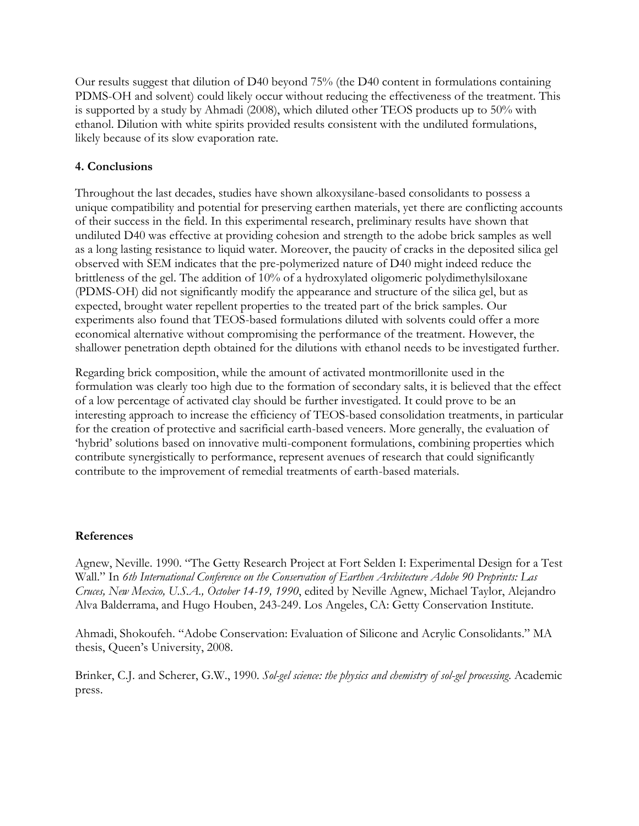Our results suggest that dilution of D40 beyond 75% (the D40 content in formulations containing PDMS-OH and solvent) could likely occur without reducing the effectiveness of the treatment. This is supported by a study by Ahmadi (2008), which diluted other TEOS products up to 50% with ethanol. Dilution with white spirits provided results consistent with the undiluted formulations, likely because of its slow evaporation rate.

## **4. Conclusions**

Throughout the last decades, studies have shown alkoxysilane-based consolidants to possess a unique compatibility and potential for preserving earthen materials, yet there are conflicting accounts of their success in the field. In this experimental research, preliminary results have shown that undiluted D40 was effective at providing cohesion and strength to the adobe brick samples as well as a long lasting resistance to liquid water. Moreover, the paucity of cracks in the deposited silica gel observed with SEM indicates that the pre-polymerized nature of D40 might indeed reduce the brittleness of the gel. The addition of 10% of a hydroxylated oligomeric polydimethylsiloxane (PDMS-OH) did not significantly modify the appearance and structure of the silica gel, but as expected, brought water repellent properties to the treated part of the brick samples. Our experiments also found that TEOS-based formulations diluted with solvents could offer a more economical alternative without compromising the performance of the treatment. However, the shallower penetration depth obtained for the dilutions with ethanol needs to be investigated further.

Regarding brick composition, while the amount of activated montmorillonite used in the formulation was clearly too high due to the formation of secondary salts, it is believed that the effect of a low percentage of activated clay should be further investigated. It could prove to be an interesting approach to increase the efficiency of TEOS-based consolidation treatments, in particular for the creation of protective and sacrificial earth-based veneers. More generally, the evaluation of 'hybrid' solutions based on innovative multi-component formulations, combining properties which contribute synergistically to performance, represent avenues of research that could significantly contribute to the improvement of remedial treatments of earth-based materials.

### **References**

Agnew, Neville. 1990. "The Getty Research Project at Fort Selden I: Experimental Design for a Test Wall." In *6th International Conference on the Conservation of Earthen Architecture Adobe 90 Preprints: Las Cruces, New Mexico, U.S.A., October 14-19, 1990*, edited by Neville Agnew, Michael Taylor, Alejandro Alva Balderrama, and Hugo Houben, 243-249. Los Angeles, CA: Getty Conservation Institute.

Ahmadi, Shokoufeh. "Adobe Conservation: Evaluation of Silicone and Acrylic Consolidants." MA thesis, Queen's University, 2008.

Brinker, C.J. and Scherer, G.W., 1990. *Sol-gel science: the physics and chemistry of sol-gel processing*. Academic press.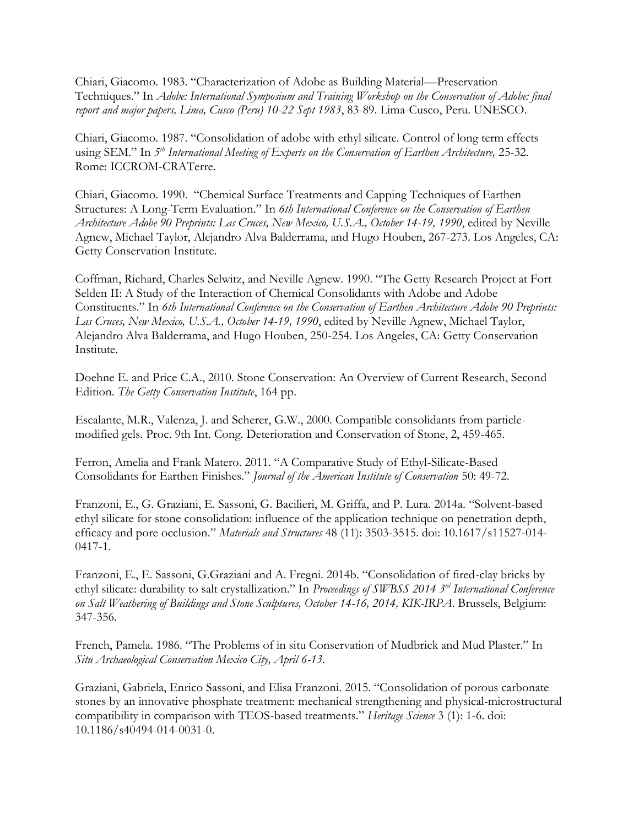Chiari, Giacomo. 1983. "Characterization of Adobe as Building Material—Preservation Techniques." In *Adobe: International Symposium and Training Workshop on the Conservation of Adobe: final report and major papers, Lima, Cusco (Peru) 10-22 Sept 1983*, 83-89. Lima-Cusco, Peru. UNESCO.

Chiari, Giacomo. 1987. "Consolidation of adobe with ethyl silicate. Control of long term effects using SEM." In 5<sup>th</sup> International Meeting of Experts on the Conservation of Earthen Architecture, 25-32. Rome: ICCROM-CRATerre.

Chiari, Giacomo. 1990. "Chemical Surface Treatments and Capping Techniques of Earthen Structures: A Long-Term Evaluation." In *6th International Conference on the Conservation of Earthen Architecture Adobe 90 Preprints: Las Cruces, New Mexico, U.S.A., October 14-19, 1990*, edited by Neville Agnew, Michael Taylor, Alejandro Alva Balderrama, and Hugo Houben, 267-273. Los Angeles, CA: Getty Conservation Institute.

Coffman, Richard, Charles Selwitz, and Neville Agnew. 1990. "The Getty Research Project at Fort Selden II: A Study of the Interaction of Chemical Consolidants with Adobe and Adobe Constituents." In *6th International Conference on the Conservation of Earthen Architecture Adobe 90 Preprints: Las Cruces, New Mexico, U.S.A., October 14-19, 1990*, edited by Neville Agnew, Michael Taylor, Alejandro Alva Balderrama, and Hugo Houben, 250-254. Los Angeles, CA: Getty Conservation Institute.

Doehne E. and Price C.A., 2010. Stone Conservation: An Overview of Current Research, Second Edition. *The Getty Conservation Institute*, 164 pp.

Escalante, M.R., Valenza, J. and Scherer, G.W., 2000. Compatible consolidants from particlemodified gels. Proc. 9th Int. Cong. Deterioration and Conservation of Stone, 2, 459-465.

Ferron, Amelia and Frank Matero. 2011. "A Comparative Study of Ethyl-Silicate-Based Consolidants for Earthen Finishes." *Journal of the American Institute of Conservation* 50: 49-72.

Franzoni, E., G. Graziani, E. Sassoni, G. Bacilieri, M. Griffa, and P. Lura. 2014a. "Solvent-based ethyl silicate for stone consolidation: influence of the application technique on penetration depth, efficacy and pore occlusion." *Materials and Structures* 48 (11): 3503-3515. doi: 10.1617/s11527-014- 0417-1.

Franzoni, E., E. Sassoni, G.Graziani and A. Fregni. 2014b. "Consolidation of fired-clay bricks by ethyl silicate: durability to salt crystallization." In *Proceedings of SWBSS 2014 3 rd International Conference on Salt Weathering of Buildings and Stone Sculptures, October 14-16, 2014, KIK-IRPA*. Brussels, Belgium: 347-356.

French, Pamela. 1986. "The Problems of in situ Conservation of Mudbrick and Mud Plaster." In *Situ Archaeological Conservation Mexico City, April 6-13*.

Graziani, Gabriela, Enrico Sassoni, and Elisa Franzoni. 2015. "Consolidation of porous carbonate stones by an innovative phosphate treatment: mechanical strengthening and physical-microstructural compatibility in comparison with TEOS-based treatments." *Heritage Science* 3 (1): 1-6. doi: 10.1186/s40494-014-0031-0.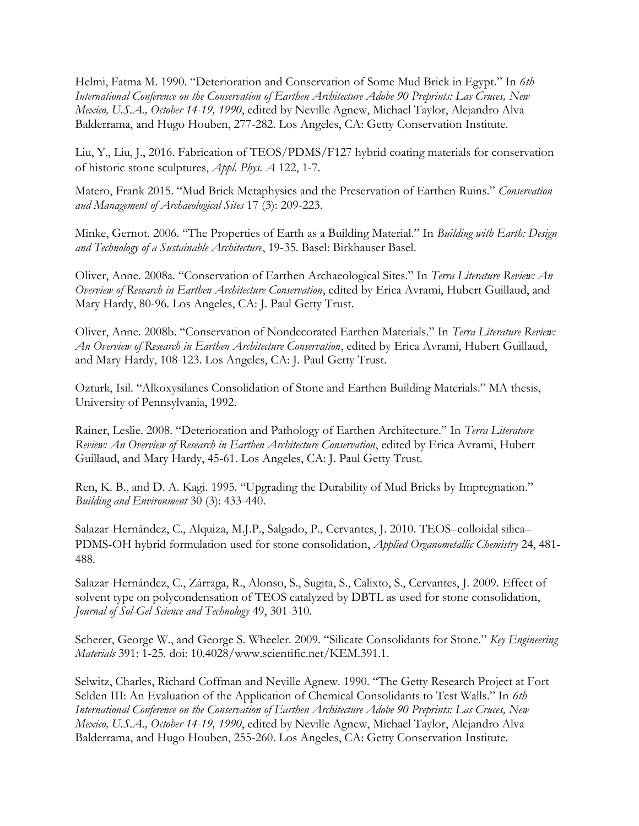Helmi, Fatma M. 1990. "Deterioration and Conservation of Some Mud Brick in Egypt." In *6th International Conference on the Conservation of Earthen Architecture Adobe 90 Preprints: Las Cruces, New Mexico, U.S.A., October 14-19, 1990*, edited by Neville Agnew, Michael Taylor, Alejandro Alva Balderrama, and Hugo Houben, 277-282. Los Angeles, CA: Getty Conservation Institute.

Liu, Y., Liu, J., 2016. Fabrication of TEOS/PDMS/F127 hybrid coating materials for conservation of historic stone sculptures, *Appl. Phys. A* 122, 1-7.

Matero, Frank 2015. "Mud Brick Metaphysics and the Preservation of Earthen Ruins." *Conservation and Management of Archaeological Sites* 17 (3): 209-223.

Minke, Gernot. 2006. "The Properties of Earth as a Building Material." In *Building with Earth: Design and Technology of a Sustainable Architecture*, 19-35. Basel: Birkhauser Basel.

Oliver, Anne. 2008a. "Conservation of Earthen Archaeological Sites." In *Terra Literature Review: An Overview of Research in Earthen Architecture Conservation*, edited by Erica Avrami, Hubert Guillaud, and Mary Hardy, 80-96. Los Angeles, CA: J. Paul Getty Trust.

Oliver, Anne. 2008b. "Conservation of Nondecorated Earthen Materials." In *Terra Literature Review: An Overview of Research in Earthen Architecture Conservation*, edited by Erica Avrami, Hubert Guillaud, and Mary Hardy, 108-123. Los Angeles, CA: J. Paul Getty Trust.

Ozturk, Isil. "Alkoxysilanes Consolidation of Stone and Earthen Building Materials." MA thesis, University of Pennsylvania, 1992.

Rainer, Leslie. 2008. "Deterioration and Pathology of Earthen Architecture." In *Terra Literature Review: An Overview of Research in Earthen Architecture Conservation*, edited by Erica Avrami, Hubert Guillaud, and Mary Hardy, 45-61. Los Angeles, CA: J. Paul Getty Trust.

Ren, K. B., and D. A. Kagi. 1995. "Upgrading the Durability of Mud Bricks by Impregnation." *Building and Environment* 30 (3): 433-440.

Salazar-Hernández, C., Alquiza, M.J.P., Salgado, P., Cervantes, J. 2010. TEOS–colloidal silica– PDMS-OH hybrid formulation used for stone consolidation, *Applied Organometallic Chemistry* 24, 481- 488.

Salazar-Hernández, C., Zárraga, R., Alonso, S., Sugita, S., Calixto, S., Cervantes, J. 2009. Effect of solvent type on polycondensation of TEOS catalyzed by DBTL as used for stone consolidation, *Journal of Sol-Gel Science and Technology* 49, 301-310.

Scherer, George W., and George S. Wheeler. 2009. "Silicate Consolidants for Stone." *Key Engineering Materials* 391: 1-25. doi: 10.4028/www.scientific.net/KEM.391.1.

Selwitz, Charles, Richard Coffman and Neville Agnew. 1990. "The Getty Research Project at Fort Selden III: An Evaluation of the Application of Chemical Consolidants to Test Walls." In *6th International Conference on the Conservation of Earthen Architecture Adobe 90 Preprints: Las Cruces, New Mexico, U.S.A., October 14-19, 1990*, edited by Neville Agnew, Michael Taylor, Alejandro Alva Balderrama, and Hugo Houben, 255-260. Los Angeles, CA: Getty Conservation Institute.